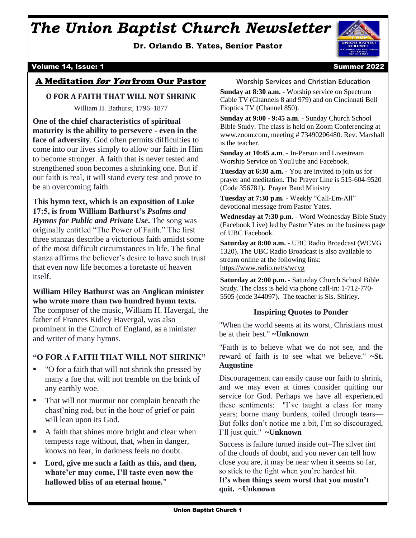# *The Union Baptist Church Newsletter*

**Dr. Orlando B. Yates, Senior Pastor**



## Volume 14, Issue: 1 Summer 2022

## A Meditation for You from Our Pastor

**O FOR A FAITH THAT WILL NOT SHRINK** William H. Bathurst, 1796–1877

**One of the chief characteristics of spiritual maturity is the ability to persevere - even in the face of adversity**. God often permits difficulties to come into our lives simply to allow our faith in Him to become stronger. A faith that is never tested and strengthened soon becomes a shrinking one. But if our faith is real, it will stand every test and prove to be an overcoming faith.

## **This hymn text, which is an exposition of Luke 17:5, is from William Bathurst's** *Psalms and Hymns for Public and Private Use***.** The song was

originally entitled "The Power of Faith." The first three stanzas describe a victorious faith amidst some of the most difficult circumstances in life. The final stanza affirms the believer's desire to have such trust that even now life becomes a foretaste of heaven itself.

## **William Hiley Bathurst was an Anglican minister who wrote more than two hundred hymn texts.** The composer of the music, William H. Havergal, the father of Frances Ridley Havergal, was also prominent in the Church of England, as a minister and writer of many hymns.

## **"O FOR A FAITH THAT WILL NOT SHRINK"**

- "O for a faith that will not shrink tho pressed by many a foe that will not tremble on the brink of any earthly woe.
- That will not murmur nor complain beneath the chast'ning rod, but in the hour of grief or pain will lean upon its God.
- A faith that shines more bright and clear when tempests rage without, that, when in danger, knows no fear, in darkness feels no doubt.
- Lord, give me such a faith as this, and then, **whate'er may come, I'll taste even now the hallowed bliss of an eternal home."**

**Worship Services and Christian Education**

**Sunday at 8:30 a.m. -** Worship service on Spectrum Cable TV (Channels 8 and 979) and on Cincinnati Bell Fioptics TV (Channel 850).

**Sunday at 9:00 - 9:45 a.m**. - Sunday Church School Bible Study. The class is held on Zoom Conferencing at [www.zoom.com,](http://www.zoom.com/) meeting # 73490206480. Rev. Marshall is the teacher.

**Sunday at 10:45 a.m**. - In-Person and Livestream Worship Service on YouTube and Facebook.

**Tuesday at 6:30 a.m.** - You are invited to join us for prayer and meditation. The Prayer Line is 515-604-9520 (Code 356781)**.** Prayer Band Ministry

**Tuesday at 7:30 p.m.** - Weekly "Call-Em-All" devotional message from Pastor Yates.

**Wednesday at 7:30 p.m**. - Word Wednesday Bible Study (Facebook Live) led by Pastor Yates on the business page of UBC Facebook.

**Saturday at 8:00 a.m. -** UBC Radio Broadcast (WCVG 1320). The UBC Radio Broadcast is also available to stream online at the following link: <https://www.radio.net/s/wcvg>

 5505 (code 344097). The teacher is Sis. Shirley. **Saturday at 2:00 p.m. -** Saturday Church School Bible Study. The class is held via phone call-in: 1-712-770-

## **Inspiring Quotes to Ponder**

"When the world seems at its worst, Christians must be at their best." **~Unknown**

"Faith is to believe what we do not see, and the reward of faith is to see what we believe." **~St.**   **Augustine**

Discouragement can easily cause our faith to shrink, and we may even at times consider quitting our service for God. Perhaps we have all experienced these sentiments: "I've taught a class for many years; borne many burdens, toiled through tears— But folks don't notice me a bit, I'm so discouraged, I'll just quit." **~Unknown**

Success is failure turned inside out–The silver tint of the clouds of doubt, and you never can tell how close you are, it may be near when it seems so far, so stick to the fight when you're hardest hit. **It's when things seem worst that you mustn't quit. ~Unknown**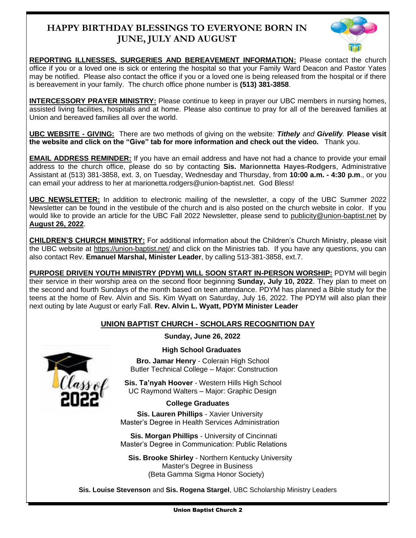# **HAPPY BIRTHDAY BLESSINGS TO EVERYONE BORN IN JUNE, JULY AND AUGUST**



**REPORTING ILLNESSES, SURGERIES AND BEREAVEMENT INFORMATION:** Please contact the church office if you or a loved one is sick or entering the hospital so that your Family Ward Deacon and Pastor Yates may be notified. Please also contact the office if you or a loved one is being released from the hospital or if there is bereavement in your family. The church office phone number is **(513) 381-3858**.

**INTERCESSORY PRAYER MINISTRY:** Please continue to keep in prayer our UBC members in nursing homes, assisted living facilities, hospitals and at home. Please also continue to pray for all of the bereaved families at Union and bereaved families all over the world.

**UBC WEBSITE - GIVING:** There are two methods of giving on the website*: Tithely and Givelify.* **Please visit the website and click on the "Give" tab for more information and check out the video.** Thank you.

**EMAIL ADDRESS REMINDER:** If you have an email address and have not had a chance to provide your email address to the church office, please do so by contacting **Sis. Marionnetta Hayes-Rodgers**, Administrative Assistant at (513) 381-3858, ext. 3, on Tuesday, Wednesday and Thursday, from **10:00 a.m. - 4:30 p.m**., or you can email your address to her at marionetta.rodgers@union-baptist.net. God Bless!

**UBC NEWSLETTER:** In addition to electronic mailing of the newsletter, a copy of the UBC Summer 2022 Newsletter can be found in the vestibule of the church and is also posted on the church website in color. If you would like to provide an article for the UBC Fall 2022 Newsletter, please send to [publicity@union-baptist.net](mailto:publicity@union-baptist.net) by **August 26, 2022**.

**CHILDREN'S CHURCH MINISTRY:** For additional information about the Children's Church Ministry, please visit the UBC website at<https://union-baptist.net/> and click on the Ministries tab. If you have any questions, you can also contact Rev. **Emanuel Marshal, Minister Leader**, by calling 513-381-3858, ext.7.

**PURPOSE DRIVEN YOUTH MINISTRY (PDYM) WILL SOON START IN-PERSON WORSHIP:** PDYM will begin their service in their worship area on the second floor beginning **Sunday, July 10, 2022**. They plan to meet on the second and fourth Sundays of the month based on teen attendance. PDYM has planned a Bible study for the teens at the home of Rev. Alvin and Sis. Kim Wyatt on Saturday, July 16, 2022. The PDYM will also plan their next outing by late August or early Fall. **Rev. Alvin L. Wyatt, PDYM Minister Leader**

## **UNION BAPTIST CHURCH - SCHOLARS RECOGNITION DAY**



 **Sunday, June 26, 2022**

 **High School Graduates**

 **Bro. Jamar Henry** - Colerain High School Butler Technical College – Major: Construction

**Sis. Ta'nyah Hoover** - Western Hills High School UC Raymond Walters – Major: Graphic Design

 **College Graduates**

 **Sis. Lauren Phillips** - Xavier University Master's Degree in Health Services Administration

 **Sis. Morgan Phillips** - University of Cincinnati Master's Degree in Communication: Public Relations

 **Sis. Brooke Shirley** - Northern Kentucky University Master's Degree in Business (Beta Gamma Sigma Honor Society)

**Sis. Louise Stevenson** and **Sis. Rogena Stargel**, UBC Scholarship Ministry Leaders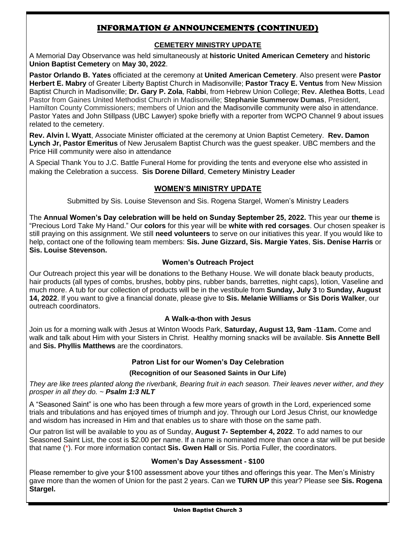# INFORMATION & ANNOUNCEMENTS (CONTINUED)

## **CEMETERY MINISTRY UPDATE**

A Memorial Day Observance was held simultaneously at **historic United American Cemetery** and **historic Union Baptist Cemetery** on **May 30, 2022**.

**Pastor Orlando B. Yates** officiated at the ceremony at **United American Cemetery**. Also present were **Pastor Herbert E. Mabry** of Greater Liberty Baptist Church in Madisonville; **Pastor Tracy E. Ventus** from New Mission Baptist Church in Madisonville; **Dr. Gary P. Zola**, R**abbi**, from Hebrew Union College; **Rev. Alethea Botts**, Lead Pastor from Gaines United Methodist Church in Madisonville; **Stephanie Summerow Dumas**, President, Hamilton County Commissioners; members of Union and the Madisonville community were also in attendance. Pastor Yates and John Stillpass (UBC Lawyer) spoke briefly with a reporter from WCPO Channel 9 about issues related to the cemetery.

**Rev. Alvin l. Wyatt**, Associate Minister officiated at the ceremony at Union Baptist Cemetery. **Rev. Damon Lynch Jr, Pastor Emeritus** of New Jerusalem Baptist Church was the guest speaker. UBC members and the Price Hill community were also in attendance

A Special Thank You to J.C. Battle Funeral Home for providing the tents and everyone else who assisted in making the Celebration a success. **Sis Dorene Dillard**, **Cemetery Ministry Leader**

## **WOMEN'S MINISTRY UPDATE**

Submitted by Sis. Louise Stevenson and Sis. Rogena Stargel, Women's Ministry Leaders

The **Annual Women's Day celebration will be held on Sunday September 25, 2022.** This year our **theme** is "Precious Lord Take My Hand." Our **colors** for this year will be **white with red corsages**. Our chosen speaker is still praying on this assignment. We still **need volunteers** to serve on our initiatives this year. If you would like to help, contact one of the following team members: **Sis. June Gizzard, Sis. Margie Yates**, **Sis. Denise Harris** or **Sis. Louise Stevenson.**

#### **Women's Outreach Project**

Our Outreach project this year will be donations to the Bethany House. We will donate black beauty products, hair products (all types of combs, brushes, bobby pins, rubber bands, barrettes, night caps), lotion, Vaseline and much more. A tub for our collection of products will be in the vestibule from **Sunday, July 3** to **Sunday, August 14, 2022**. If you want to give a financial donate, please give to **Sis. Melanie Williams** or **Sis Doris Walker**, our outreach coordinators.

#### **A Walk-a-thon with Jesus**

Join us for a morning walk with Jesus at Winton Woods Park, **Saturday, August 13, 9am** -**11am.** Come and walk and talk about Him with your Sisters in Christ. Healthy morning snacks will be available. **Sis Annette Bell** and **Sis. Phyllis Matthews** are the coordinators.

## **Patron List for our Women's Day Celebration**

#### **(Recognition of our Seasoned Saints in Our Life)**

*They are like trees planted along the riverbank, Bearing fruit in each season. Their leaves never wither, and they prosper in all they do. ~ Psalm 1:3 NLT*

A "Seasoned Saint" is one who has been through a few more years of growth in the Lord, experienced some trials and tribulations and has enjoyed times of triumph and joy. Through our Lord Jesus Christ, our knowledge and wisdom has increased in Him and that enables us to share with those on the same path.

Our patron list will be available to you as of Sunday, **August 7- September 4, 2022**. To add names to our Seasoned Saint List, the cost is \$2.00 per name. If a name is nominated more than once a star will be put beside that name (\*). For more information contact **Sis. Gwen Hall** or Sis. Portia Fuller, the coordinators.

#### **Women's Day Assessment - \$100**

Please remember to give your \$100 assessment above your tithes and offerings this year. The Men's Ministry gave more than the women of Union for the past 2 years. Can we **TURN UP** this year? Please see **Sis. Rogena Stargel.**